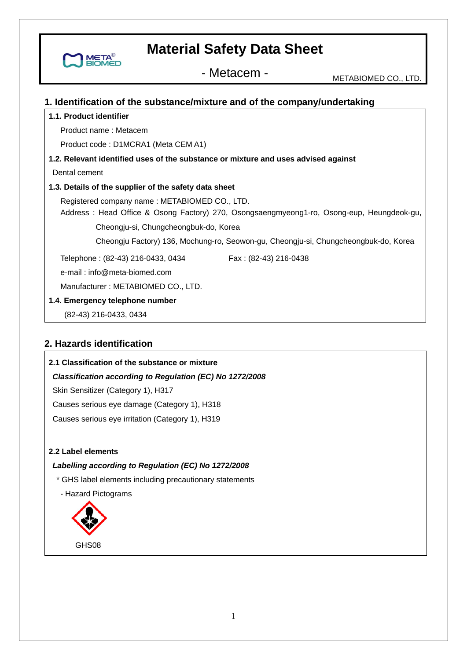- Metacem - METABIOMED CO., LTD.

#### **1. Identification of the substance/mixture and of the company/undertaking**

#### **1.1. Product identifier**

META

Product name : Metacem

Product code : D1MCRA1 (Meta CEM A1)

#### **1.2. Relevant identified uses of the substance or mixture and uses advised against**

Dental cement

#### **1.3. Details of the supplier of the safety data sheet**

 Registered company name : METABIOMED CO., LTD. Address : Head Office & Osong Factory) 270, Osongsaengmyeong1-ro, Osong-eup, Heungdeok-gu,

Cheongju-si, Chungcheongbuk-do, Korea

Cheongju Factory) 136, Mochung-ro, Seowon-gu, Cheongju-si, Chungcheongbuk-do, Korea

Telephone: (82-43) 216-0433, 0434 Fax: (82-43) 216-0438

e-mail : info@meta-biomed.com

Manufacturer : METABIOMED CO., LTD.

**1.4. Emergency telephone number** 

(82-43) 216-0433, 0434

### **2. Hazards identification**

#### **2.1 Classification of the substance or mixture**

*Classification according to Regulation (EC) No 1272/2008* 

Skin Sensitizer (Category 1), H317

Causes serious eye damage (Category 1), H318

Causes serious eye irritation (Category 1), H319

**2.2 Label elements** 

#### *Labelling according to Regulation (EC) No 1272/2008*

\* GHS label elements including precautionary statements

- Hazard Pictograms

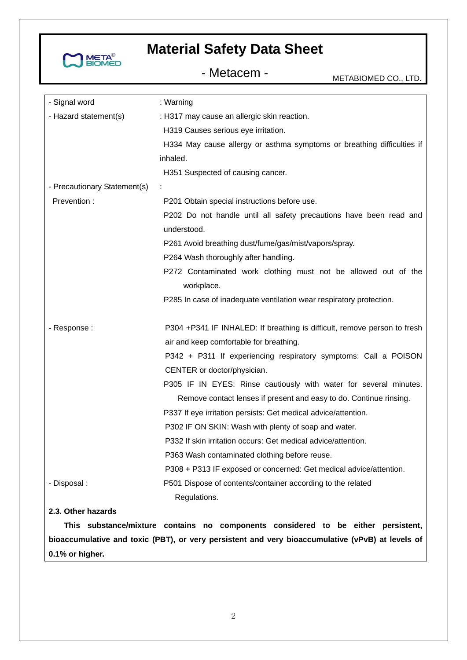

- Metacem - METABIOMED CO., LTD.

| - Signal word                | : Warning                                                                |
|------------------------------|--------------------------------------------------------------------------|
| - Hazard statement(s)        | : H317 may cause an allergic skin reaction.                              |
|                              | H319 Causes serious eye irritation.                                      |
|                              | H334 May cause allergy or asthma symptoms or breathing difficulties if   |
|                              | inhaled.                                                                 |
|                              | H351 Suspected of causing cancer.                                        |
| - Precautionary Statement(s) |                                                                          |
| Prevention:                  | P201 Obtain special instructions before use.                             |
|                              | P202 Do not handle until all safety precautions have been read and       |
|                              | understood.                                                              |
|                              | P261 Avoid breathing dust/fume/gas/mist/vapors/spray.                    |
|                              | P264 Wash thoroughly after handling.                                     |
|                              | P272 Contaminated work clothing must not be allowed out of the           |
|                              | workplace.                                                               |
|                              | P285 In case of inadequate ventilation wear respiratory protection.      |
|                              |                                                                          |
| - Response :                 | P304 +P341 IF INHALED: If breathing is difficult, remove person to fresh |
|                              | air and keep comfortable for breathing.                                  |
|                              | P342 + P311 If experiencing respiratory symptoms: Call a POISON          |
|                              | CENTER or doctor/physician.                                              |
|                              | P305 IF IN EYES: Rinse cautiously with water for several minutes.        |
|                              | Remove contact lenses if present and easy to do. Continue rinsing.       |
|                              | P337 If eye irritation persists: Get medical advice/attention.           |
|                              | P302 IF ON SKIN: Wash with plenty of soap and water.                     |
|                              | P332 If skin irritation occurs: Get medical advice/attention.            |
|                              | P363 Wash contaminated clothing before reuse.                            |
|                              | P308 + P313 IF exposed or concerned: Get medical advice/attention.       |
| - Disposal :                 | P501 Dispose of contents/container according to the related              |
|                              | Regulations.                                                             |
|                              |                                                                          |

**2.3. Other hazards** 

**This substance/mixture contains no components considered to be either persistent, bioaccumulative and toxic (PBT), or very persistent and very bioaccumulative (vPvB) at levels of 0.1% or higher.**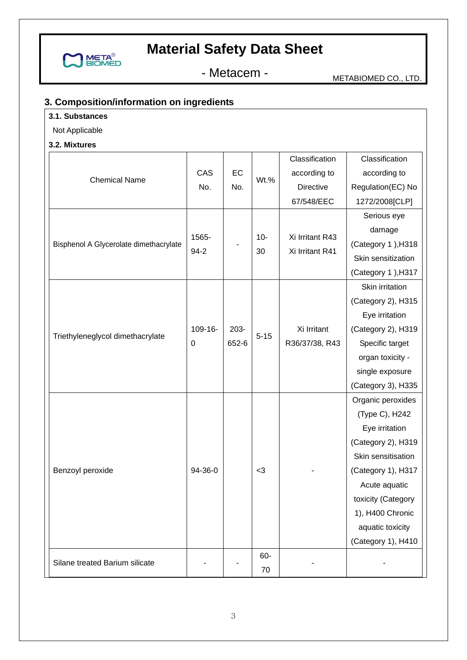

- Metacem - METABIOMED CO., LTD.

# **3. Composition/information on ingredients**

# **3.1. Substances**

Not Applicable

**3.2. Mixtures** 

| J.Z. MIXLUI <del>C</del> S             |                   |                  |             |                                    |                    |
|----------------------------------------|-------------------|------------------|-------------|------------------------------------|--------------------|
|                                        |                   |                  |             | Classification                     | Classification     |
| <b>Chemical Name</b>                   | CAS<br>No.        | EC<br>No.        | Wt.%        | according to                       | according to       |
|                                        |                   |                  |             | <b>Directive</b>                   | Regulation(EC) No  |
|                                        |                   |                  |             | 67/548/EEC                         | 1272/2008[CLP]     |
|                                        |                   |                  | $10-$<br>30 | Xi Irritant R43<br>Xi Irritant R41 | Serious eye        |
|                                        |                   |                  |             |                                    | damage             |
| Bisphenol A Glycerolate dimethacrylate | 1565-<br>$94 - 2$ |                  |             |                                    | (Category 1), H318 |
|                                        |                   |                  |             |                                    | Skin sensitization |
|                                        |                   |                  |             |                                    | (Category 1), H317 |
|                                        |                   |                  |             |                                    | Skin irritation    |
|                                        |                   |                  |             |                                    | (Category 2), H315 |
|                                        |                   |                  |             |                                    | Eye irritation     |
|                                        | 109-16-           | $203 -$<br>652-6 | $5 - 15$    | Xi Irritant                        | (Category 2), H319 |
| Triethyleneglycol dimethacrylate       | 0                 |                  |             | R36/37/38, R43                     | Specific target    |
|                                        |                   |                  |             |                                    | organ toxicity -   |
|                                        |                   |                  |             |                                    | single exposure    |
|                                        |                   |                  |             |                                    | (Category 3), H335 |
|                                        |                   |                  |             |                                    | Organic peroxides  |
|                                        |                   |                  |             |                                    | (Type C), H242     |
|                                        | 94-36-0           |                  | $<$ 3       |                                    | Eye irritation     |
|                                        |                   |                  |             |                                    | (Category 2), H319 |
|                                        |                   |                  |             |                                    | Skin sensitisation |
| Benzoyl peroxide                       |                   |                  |             |                                    | (Category 1), H317 |
|                                        |                   |                  |             |                                    | Acute aquatic      |
|                                        |                   |                  |             |                                    | toxicity (Category |
|                                        |                   |                  |             |                                    | 1), H400 Chronic   |
|                                        |                   |                  |             |                                    | aquatic toxicity   |
|                                        |                   |                  |             |                                    | (Category 1), H410 |
| Silane treated Barium silicate         |                   |                  | 60-         |                                    |                    |
|                                        |                   |                  | 70          |                                    |                    |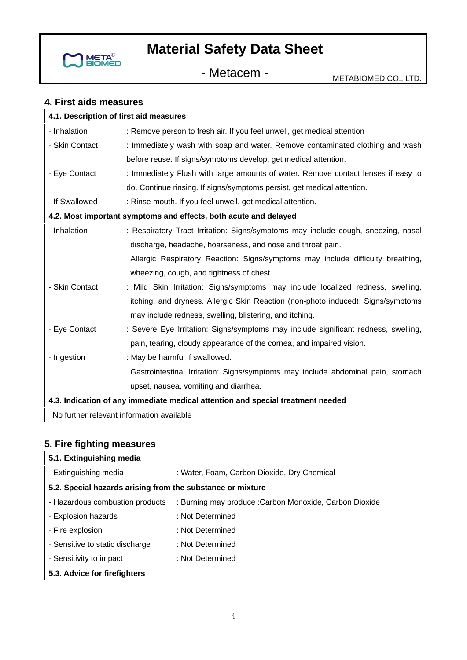

- Metacem - METABIOMED CO., LTD.

# **4. First aids measures**

| 4.1. Description of first aid measures                                          |                                                                                    |  |  |
|---------------------------------------------------------------------------------|------------------------------------------------------------------------------------|--|--|
| - Inhalation                                                                    | : Remove person to fresh air. If you feel unwell, get medical attention            |  |  |
| - Skin Contact                                                                  | : Immediately wash with soap and water. Remove contaminated clothing and wash      |  |  |
|                                                                                 | before reuse. If signs/symptoms develop, get medical attention.                    |  |  |
| - Eye Contact                                                                   | : Immediately Flush with large amounts of water. Remove contact lenses if easy to  |  |  |
|                                                                                 | do. Continue rinsing. If signs/symptoms persist, get medical attention.            |  |  |
| - If Swallowed                                                                  | : Rinse mouth. If you feel unwell, get medical attention.                          |  |  |
|                                                                                 | 4.2. Most important symptoms and effects, both acute and delayed                   |  |  |
| - Inhalation                                                                    | : Respiratory Tract Irritation: Signs/symptoms may include cough, sneezing, nasal  |  |  |
|                                                                                 | discharge, headache, hoarseness, and nose and throat pain.                         |  |  |
|                                                                                 | Allergic Respiratory Reaction: Signs/symptoms may include difficulty breathing,    |  |  |
|                                                                                 | wheezing, cough, and tightness of chest.                                           |  |  |
| - Skin Contact                                                                  | : Mild Skin Irritation: Signs/symptoms may include localized redness, swelling,    |  |  |
|                                                                                 | itching, and dryness. Allergic Skin Reaction (non-photo induced): Signs/symptoms   |  |  |
|                                                                                 | may include redness, swelling, blistering, and itching.                            |  |  |
| - Eye Contact                                                                   | : Severe Eye Irritation: Signs/symptoms may include significant redness, swelling, |  |  |
|                                                                                 | pain, tearing, cloudy appearance of the cornea, and impaired vision.               |  |  |
| - Ingestion                                                                     | : May be harmful if swallowed.                                                     |  |  |
|                                                                                 | Gastrointestinal Irritation: Signs/symptoms may include abdominal pain, stomach    |  |  |
|                                                                                 | upset, nausea, vomiting and diarrhea.                                              |  |  |
| 4.3. Indication of any immediate medical attention and special treatment needed |                                                                                    |  |  |
| No further relevant information available                                       |                                                                                    |  |  |

# **5. Fire fighting measures**

| 5.1. Extinguishing media                                   |                                                         |
|------------------------------------------------------------|---------------------------------------------------------|
| - Extinguishing media                                      | : Water, Foam, Carbon Dioxide, Dry Chemical             |
| 5.2. Special hazards arising from the substance or mixture |                                                         |
| - Hazardous combustion products                            | : Burning may produce : Carbon Monoxide, Carbon Dioxide |
| - Explosion hazards                                        | : Not Determined                                        |
| - Fire explosion                                           | : Not Determined                                        |
| - Sensitive to static discharge                            | : Not Determined                                        |
| - Sensitivity to impact                                    | : Not Determined                                        |
| 5.3. Advice for firefighters                               |                                                         |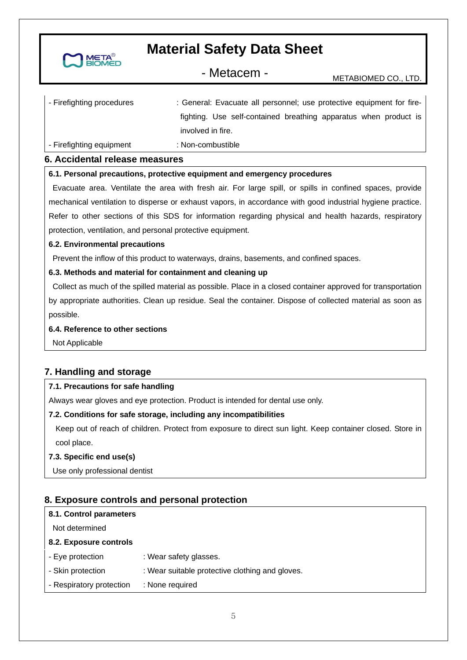

- Metacem - METABIOMED CO., LTD.

| - Firefighting procedures | : General: Evacuate all personnel; use protective equipment for fire- |  |  |
|---------------------------|-----------------------------------------------------------------------|--|--|
|                           | fighting. Use self-contained breathing apparatus when product is      |  |  |
|                           | involved in fire.                                                     |  |  |
| - Firefighting equipment  | : Non-combustible                                                     |  |  |

#### **6. Accidental release measures**

#### **6.1. Personal precautions, protective equipment and emergency procedures**

 Evacuate area. Ventilate the area with fresh air. For large spill, or spills in confined spaces, provide mechanical ventilation to disperse or exhaust vapors, in accordance with good industrial hygiene practice. Refer to other sections of this SDS for information regarding physical and health hazards, respiratory protection, ventilation, and personal protective equipment.

#### **6.2. Environmental precautions**

Prevent the inflow of this product to waterways, drains, basements, and confined spaces.

#### **6.3. Methods and material for containment and cleaning up**

 Collect as much of the spilled material as possible. Place in a closed container approved for transportation by appropriate authorities. Clean up residue. Seal the container. Dispose of collected material as soon as possible.

#### **6.4. Reference to other sections**

Not Applicable

### **7. Handling and storage**

#### **7.1. Precautions for safe handling**

Always wear gloves and eye protection. Product is intended for dental use only.

#### **7.2. Conditions for safe storage, including any incompatibilities**

Keep out of reach of children. Protect from exposure to direct sun light. Keep container closed. Store in cool place.

#### **7.3. Specific end use(s)**

Use only professional dentist

### **8. Exposure controls and personal protection**

| 8.1. Control parameters  |                                                 |
|--------------------------|-------------------------------------------------|
| Not determined           |                                                 |
| 8.2. Exposure controls   |                                                 |
| - Eye protection         | : Wear safety glasses.                          |
| - Skin protection        | : Wear suitable protective clothing and gloves. |
| - Respiratory protection | : None required                                 |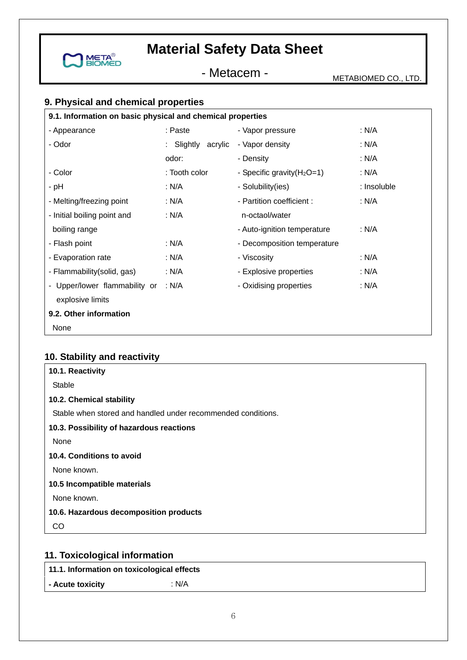

- Metacem - METABIOMED CO., LTD.

# **9. Physical and chemical properties**

| 9.1. Information on basic physical and chemical properties |                    |                               |             |
|------------------------------------------------------------|--------------------|-------------------------------|-------------|
| - Appearance                                               | : Paste            | - Vapor pressure              | : N/A       |
| - Odor                                                     | : Slightly acrylic | - Vapor density               | : N/A       |
|                                                            | odor:              | - Density                     | : N/A       |
| - Color                                                    | : Tooth color      | - Specific gravity $(H_2O=1)$ | : $N/A$     |
| - pH                                                       | : N/A              | - Solubility(ies)             | : Insoluble |
| - Melting/freezing point                                   | : N/A              | - Partition coefficient :     | : N/A       |
| - Initial boiling point and                                | : N/A              | n-octaol/water                |             |
| boiling range                                              |                    | - Auto-ignition temperature   | : N/A       |
| - Flash point                                              | : N/A              | - Decomposition temperature   |             |
| - Evaporation rate                                         | : N/A              | - Viscosity                   | : $N/A$     |
| - Flammability(solid, gas)                                 | : N/A              | - Explosive properties        | : $N/A$     |
| - Upper/lower flammability or                              | : $N/A$            | - Oxidising properties        | : $N/A$     |
| explosive limits                                           |                    |                               |             |
| 9.2. Other information                                     |                    |                               |             |
| None                                                       |                    |                               |             |

# **10. Stability and reactivity**

| 10.1. Reactivity                                             |
|--------------------------------------------------------------|
| Stable                                                       |
| 10.2. Chemical stability                                     |
| Stable when stored and handled under recommended conditions. |
| 10.3. Possibility of hazardous reactions                     |
| None                                                         |
| 10.4. Conditions to avoid                                    |
| None known.                                                  |
| 10.5 Incompatible materials                                  |
| None known.                                                  |
| 10.6. Hazardous decomposition products                       |
| CO                                                           |
|                                                              |

# **11. Toxicological information**

**11.1. Information on toxicological effects** 

**- Acute toxicity** : N/A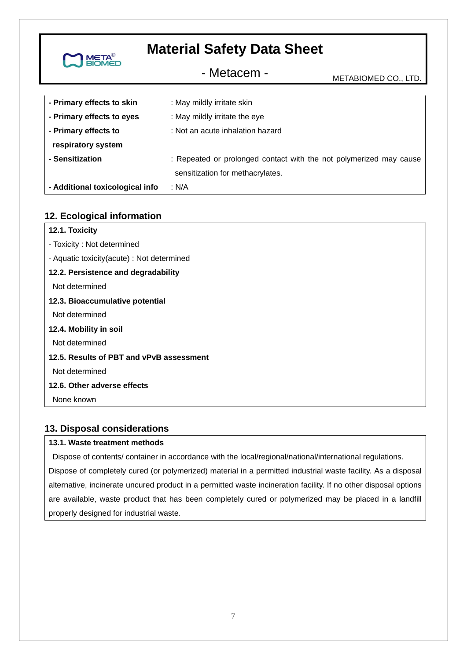| <b>META<sup>®</sup></b><br>BIOMED | <b>Material Safety Data Sheet</b>                                                                      |                      |  |
|-----------------------------------|--------------------------------------------------------------------------------------------------------|----------------------|--|
|                                   | - Metacem -                                                                                            | METABIOMED CO., LTD. |  |
| - Primary effects to skin         | : May mildly irritate skin                                                                             |                      |  |
| - Primary effects to eyes         | : May mildly irritate the eye                                                                          |                      |  |
| - Primary effects to              | : Not an acute inhalation hazard                                                                       |                      |  |
| respiratory system                |                                                                                                        |                      |  |
| - Sensitization                   | : Repeated or prolonged contact with the not polymerized may cause<br>sensitization for methacrylates. |                      |  |
| - Additional toxicological info   | : N/A                                                                                                  |                      |  |

### **12. Ecological information**

| 12.1. Toxicity                             |
|--------------------------------------------|
| - Toxicity: Not determined                 |
| - Aquatic toxicity(acute) : Not determined |
| 12.2. Persistence and degradability        |
| Not determined                             |
| 12.3. Bioaccumulative potential            |
| Not determined                             |
| 12.4. Mobility in soil                     |
| Not determined                             |
| 12.5. Results of PBT and vPvB assessment   |
| Not determined                             |
| 12.6. Other adverse effects                |
| None known                                 |
|                                            |

### **13. Disposal considerations**

#### **13.1. Waste treatment methods**

 Dispose of contents/ container in accordance with the local/regional/national/international regulations. Dispose of completely cured (or polymerized) material in a permitted industrial waste facility. As a disposal alternative, incinerate uncured product in a permitted waste incineration facility. If no other disposal options are available, waste product that has been completely cured or polymerized may be placed in a landfill properly designed for industrial waste.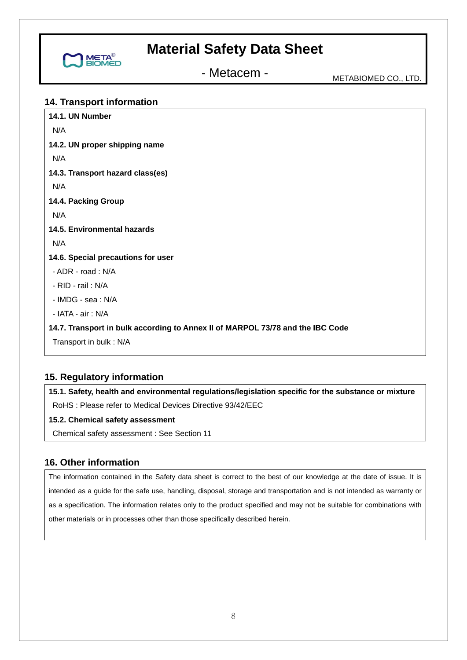

- Metacem - METABIOMED CO., LTD.

### **14. Transport information**

| N/A                                                                            |
|--------------------------------------------------------------------------------|
|                                                                                |
| 14.2. UN proper shipping name                                                  |
| N/A                                                                            |
| 14.3. Transport hazard class(es)                                               |
| N/A                                                                            |
| 14.4. Packing Group                                                            |
| N/A                                                                            |
| 14.5. Environmental hazards                                                    |
| N/A                                                                            |
| 14.6. Special precautions for user                                             |
| - ADR - road: N/A                                                              |
| - RID - rail: N/A                                                              |
| - IMDG - sea: N/A                                                              |
| - IATA - air: N/A                                                              |
| 14.7. Transport in bulk according to Annex II of MARPOL 73/78 and the IBC Code |
| Transport in bulk: N/A                                                         |

### **15. Regulatory information**

**15.1. Safety, health and environmental regulations/legislation specific for the substance or mixture**  RoHS : Please refer to Medical Devices Directive 93/42/EEC

#### **15.2. Chemical safety assessment**

Chemical safety assessment : See Section 11

### **16. Other information**

The information contained in the Safety data sheet is correct to the best of our knowledge at the date of issue. It is intended as a guide for the safe use, handling, disposal, storage and transportation and is not intended as warranty or as a specification. The information relates only to the product specified and may not be suitable for combinations with other materials or in processes other than those specifically described herein.